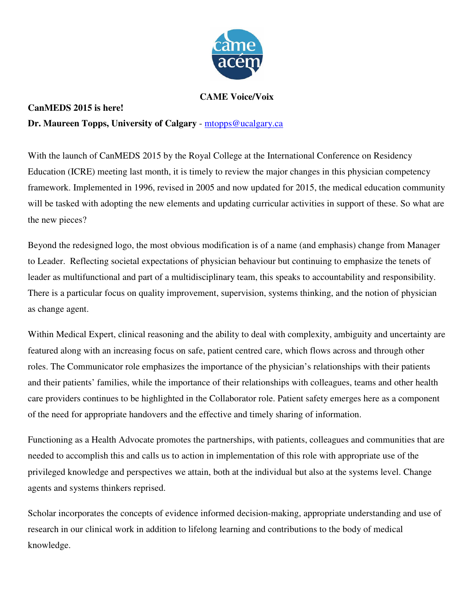

## **CAME Voice/Voix**

## **CanMEDS 2015 is here!**

## **Dr. Maureen Topps, University of Calgary** - mtopps@ucalgary.ca

With the launch of CanMEDS 2015 by the Royal College at the International Conference on Residency Education (ICRE) meeting last month, it is timely to review the major changes in this physician competency framework. Implemented in 1996, revised in 2005 and now updated for 2015, the medical education community will be tasked with adopting the new elements and updating curricular activities in support of these. So what are the new pieces?

Beyond the redesigned logo, the most obvious modification is of a name (and emphasis) change from Manager to Leader. Reflecting societal expectations of physician behaviour but continuing to emphasize the tenets of leader as multifunctional and part of a multidisciplinary team, this speaks to accountability and responsibility. There is a particular focus on quality improvement, supervision, systems thinking, and the notion of physician as change agent.

Within Medical Expert, clinical reasoning and the ability to deal with complexity, ambiguity and uncertainty are featured along with an increasing focus on safe, patient centred care, which flows across and through other roles. The Communicator role emphasizes the importance of the physician's relationships with their patients and their patients' families, while the importance of their relationships with colleagues, teams and other health care providers continues to be highlighted in the Collaborator role. Patient safety emerges here as a component of the need for appropriate handovers and the effective and timely sharing of information.

Functioning as a Health Advocate promotes the partnerships, with patients, colleagues and communities that are needed to accomplish this and calls us to action in implementation of this role with appropriate use of the privileged knowledge and perspectives we attain, both at the individual but also at the systems level. Change agents and systems thinkers reprised.

Scholar incorporates the concepts of evidence informed decision-making, appropriate understanding and use of research in our clinical work in addition to lifelong learning and contributions to the body of medical knowledge.